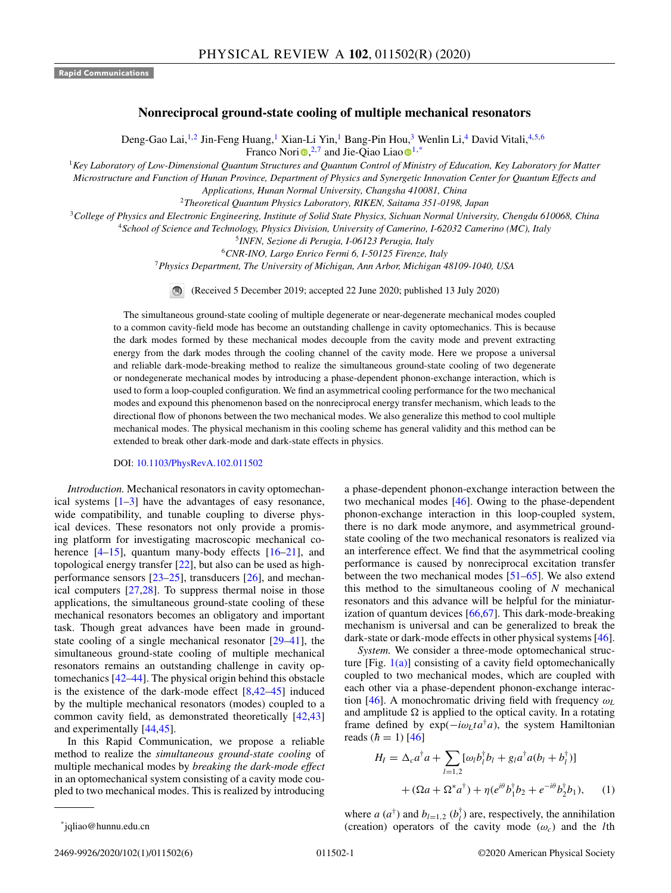**Rapid Communications**

## **Nonreciprocal ground-state cooling of multiple mechanical resonators**

Deng-Gao Lai,<sup>1,2</sup> Jin-Feng Huang,<sup>1</sup> Xian-Li Yin,<sup>1</sup> Bang-Pin Hou,<sup>3</sup> Wenlin Li,<sup>4</sup> David Vitali,<sup>4,5,6</sup> Franco Nor[i](https://orcid.org/0000-0003-3682-7432) $\mathbf{Q}^{2,7}$  and Jie-Qia[o](https://orcid.org/0000-0002-9830-9000) Liao $\mathbf{Q}^{1,*}$ 

<sup>1</sup>*Key Laboratory of Low-Dimensional Quantum Structures and Quantum Control of Ministry of Education, Key Laboratory for Matter*

*Microstructure and Function of Hunan Province, Department of Physics and Synergetic Innovation Center for Quantum Effects and Applications, Hunan Normal University, Changsha 410081, China*

<sup>2</sup>*Theoretical Quantum Physics Laboratory, RIKEN, Saitama 351-0198, Japan*

<sup>3</sup>*College of Physics and Electronic Engineering, Institute of Solid State Physics, Sichuan Normal University, Chengdu 610068, China*

<sup>4</sup>*School of Science and Technology, Physics Division, University of Camerino, I-62032 Camerino (MC), Italy*

<sup>5</sup>*INFN, Sezione di Perugia, I-06123 Perugia, Italy*

<sup>6</sup>*CNR-INO, Largo Enrico Fermi 6, I-50125 Firenze, Italy*

<sup>7</sup>*Physics Department, The University of Michigan, Ann Arbor, Michigan 48109-1040, USA*

(Received 5 December 2019; accepted 22 June 2020; published 13 July 2020)  $\bigcirc$ 

The simultaneous ground-state cooling of multiple degenerate or near-degenerate mechanical modes coupled to a common cavity-field mode has become an outstanding challenge in cavity optomechanics. This is because the dark modes formed by these mechanical modes decouple from the cavity mode and prevent extracting energy from the dark modes through the cooling channel of the cavity mode. Here we propose a universal and reliable dark-mode-breaking method to realize the simultaneous ground-state cooling of two degenerate or nondegenerate mechanical modes by introducing a phase-dependent phonon-exchange interaction, which is used to form a loop-coupled configuration. We find an asymmetrical cooling performance for the two mechanical modes and expound this phenomenon based on the nonreciprocal energy transfer mechanism, which leads to the directional flow of phonons between the two mechanical modes. We also generalize this method to cool multiple mechanical modes. The physical mechanism in this cooling scheme has general validity and this method can be extended to break other dark-mode and dark-state effects in physics.

## DOI: [10.1103/PhysRevA.102.011502](https://doi.org/10.1103/PhysRevA.102.011502)

*Introduction.* Mechanical resonators in cavity optomechanical systems  $[1-3]$  have the advantages of easy resonance, wide compatibility, and tunable coupling to diverse physical devices. These resonators not only provide a promising platform for investigating macroscopic mechanical coherence [4-15], quantum many-body effects [16-21], and topological energy transfer [\[22\]](#page-4-0), but also can be used as highperformance sensors [\[23–25\]](#page-4-0), transducers [\[26\]](#page-4-0), and mechanical computers [\[27,28\]](#page-4-0). To suppress thermal noise in those applications, the simultaneous ground-state cooling of these mechanical resonators becomes an obligatory and important task. Though great advances have been made in groundstate cooling of a single mechanical resonator [\[29](#page-4-0)[–41\]](#page-5-0), the simultaneous ground-state cooling of multiple mechanical resonators remains an outstanding challenge in cavity optomechanics [\[42–44\]](#page-5-0). The physical origin behind this obstacle is the existence of the dark-mode effect  $[8,42-45]$  $[8,42-45]$  induced by the multiple mechanical resonators (modes) coupled to a common cavity field, as demonstrated theoretically [\[42,43\]](#page-5-0) and experimentally [\[44,45\]](#page-5-0).

In this Rapid Communication, we propose a reliable method to realize the *simultaneous ground-state cooling* of multiple mechanical modes by *breaking the dark-mode effect* in an optomechanical system consisting of a cavity mode coupled to two mechanical modes. This is realized by introducing

a phase-dependent phonon-exchange interaction between the two mechanical modes [\[46\]](#page-5-0). Owing to the phase-dependent phonon-exchange interaction in this loop-coupled system, there is no dark mode anymore, and asymmetrical groundstate cooling of the two mechanical resonators is realized via an interference effect. We find that the asymmetrical cooling performance is caused by nonreciprocal excitation transfer between the two mechanical modes [\[51–65\]](#page-5-0). We also extend this method to the simultaneous cooling of *N* mechanical resonators and this advance will be helpful for the miniaturization of quantum devices [\[66,67\]](#page-5-0). This dark-mode-breaking mechanism is universal and can be generalized to break the dark-state or dark-mode effects in other physical systems [\[46\]](#page-5-0).

*System.* We consider a three-mode optomechanical structure [Fig.  $1(a)$ ] consisting of a cavity field optomechanically coupled to two mechanical modes, which are coupled with each other via a phase-dependent phonon-exchange interaction [\[46\]](#page-5-0). A monochromatic driving field with frequency ω*<sup>L</sup>* and amplitude  $\Omega$  is applied to the optical cavity. In a rotating frame defined by  $exp(-i\omega_L t a^{\dagger} a)$ , the system Hamiltonian reads  $(h = 1)$  [\[46\]](#page-5-0)

$$
H_{I} = \Delta_{c} a^{\dagger} a + \sum_{l=1,2} [\omega_{l} b_{l}^{\dagger} b_{l} + g_{l} a^{\dagger} a (b_{l} + b_{l}^{\dagger})] + (\Omega a + \Omega^{*} a^{\dagger}) + \eta (e^{i\theta} b_{l}^{\dagger} b_{2} + e^{-i\theta} b_{2}^{\dagger} b_{1}), \quad (1)
$$

where *a*  $(a^{\dagger})$  and  $b_{l=1,2}$   $(b^{\dagger}_{l})$  are, respectively, the annihilation (creation) operators of the cavity mode  $(\omega_c)$  and the *l*th

\*jqliao@hunnu.edu.cn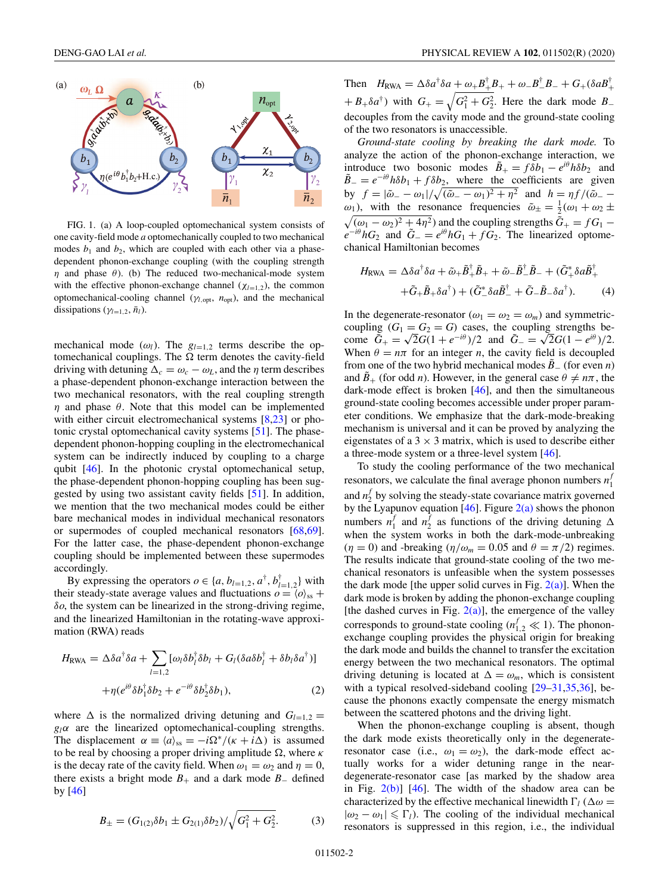<span id="page-1-0"></span>

FIG. 1. (a) A loop-coupled optomechanical system consists of one cavity-field mode *a* optomechanically coupled to two mechanical modes  $b_1$  and  $b_2$ , which are coupled with each other via a phasedependent phonon-exchange coupling (with the coupling strength  $\eta$  and phase  $\theta$ ). (b) The reduced two-mechanical-mode system with the effective phonon-exchange channel  $(\chi_{l=1,2})$ , the common optomechanical-cooling channel ( $\gamma_{l, \text{opt}}$ ,  $n_{\text{opt}}$ ), and the mechanical dissipations ( $\gamma_{l=1,2}, \bar{n}_l$ ).

mechanical mode  $(\omega_l)$ . The  $g_{l=1,2}$  terms describe the optomechanical couplings. The  $\Omega$  term denotes the cavity-field driving with detuning  $\Delta_c = \omega_c - \omega_L$ , and the  $\eta$  term describes a phase-dependent phonon-exchange interaction between the two mechanical resonators, with the real coupling strength  $\eta$  and phase  $\theta$ . Note that this model can be implemented with either circuit electromechanical systems [\[8,23\]](#page-4-0) or photonic crystal optomechanical cavity systems [\[51\]](#page-5-0). The phasedependent phonon-hopping coupling in the electromechanical system can be indirectly induced by coupling to a charge qubit [\[46\]](#page-5-0). In the photonic crystal optomechanical setup, the phase-dependent phonon-hopping coupling has been suggested by using two assistant cavity fields [\[51\]](#page-5-0). In addition, we mention that the two mechanical modes could be either bare mechanical modes in individual mechanical resonators or supermodes of coupled mechanical resonators [\[68,69\]](#page-5-0). For the latter case, the phase-dependent phonon-exchange coupling should be implemented between these supermodes accordingly.

By expressing the operators  $o \in \{a, b_{l=1,2}, a^{\dagger}, b^{\dagger}_{l=1,2}\}$  with their steady-state average values and fluctuations  $o = \langle o \rangle$ <sub>ss</sub> + δ*o*, the system can be linearized in the strong-driving regime, and the linearized Hamiltonian in the rotating-wave approximation (RWA) reads

$$
H_{\text{RWA}} = \Delta \delta a^{\dagger} \delta a + \sum_{l=1,2} [\omega_l \delta b_l^{\dagger} \delta b_l + G_l (\delta a \delta b_l^{\dagger} + \delta b_l \delta a^{\dagger})] + \eta (e^{i\theta} \delta b_1^{\dagger} \delta b_2 + e^{-i\theta} \delta b_2^{\dagger} \delta b_1), \tag{2}
$$

where  $\Delta$  is the normalized driving detuning and  $G_{l=1,2}$  =  $g_l \alpha$  are the linearized optomechanical-coupling strengths. The displacement  $\alpha = \langle a \rangle_{ss} = -i\Omega^*/(\kappa + i\Delta)$  is assumed to be real by choosing a proper driving amplitude  $\Omega$ , where  $\kappa$ is the decay rate of the cavity field. When  $\omega_1 = \omega_2$  and  $\eta = 0$ , there exists a bright mode  $B_+$  and a dark mode  $B_-$  defined by [\[46\]](#page-5-0)

$$
B_{\pm} = (G_{1(2)}\delta b_1 \pm G_{2(1)}\delta b_2) / \sqrt{G_1^2 + G_2^2}.
$$
 (3)

Then  $H_{\text{RWA}} = \Delta \delta a^{\dagger} \delta a + \omega_{+} B^{\dagger}_{+} B_{+} + \omega_{-} B^{\dagger}_{-} B_{-} + G_{+} (\delta a B^{\dagger}_{+}$  $+ B_+ \delta a^{\dagger}$ ) with  $G_+ = \sqrt{G_1^2 + G_2^2}$ . Here the dark mode  $B_$ decouples from the cavity mode and the ground-state cooling of the two resonators is unaccessible.

*Ground-state cooling by breaking the dark mode.* To analyze the action of the phonon-exchange interaction, we introduce two bosonic modes  $\tilde{B}_+ = f \delta b_1 - e^{i\theta} h \delta b_2$  and  $\tilde{B}_- = e^{-i\theta}h\delta b_1 + f\delta b_2$ , where the coefficients are given by  $f = |\tilde{\omega}_- - \omega_1| / \sqrt{(\tilde{\omega}_- - \omega_1)^2 + \eta^2}$  and  $h = \eta f / (\tilde{\omega}_- - \omega_1)^2$  $\omega_1$ ), with the resonance frequencies  $\tilde{\omega}_\pm = \frac{1}{2}(\omega_1 + \omega_2 \pm \omega_3)$  $\sqrt{(\omega_1 - \omega_2)^2 + 4\eta^2}$  and the coupling strengths  $\tilde{G}_+ = fG_1$  $e^{-i\theta} hG_2$  and  $\tilde{G}_- = e^{i\theta} hG_1 + fG_2$ . The linearized optomechanical Hamiltonian becomes

$$
H_{\text{RWA}} = \Delta \delta a^{\dagger} \delta a + \tilde{\omega}_{+} \tilde{B}_{+}^{\dagger} \tilde{B}_{+} + \tilde{\omega}_{-} \tilde{B}_{-}^{\dagger} \tilde{B}_{-} + (\tilde{G}_{+}^{*} \delta a \tilde{B}_{+}^{\dagger}) + (\tilde{G}_{-}^{*} \delta a \tilde{B}_{-}^{\dagger} + \tilde{G}_{-} \tilde{B}_{-} \delta a^{\dagger}). \tag{4}
$$

In the degenerate-resonator ( $\omega_1 = \omega_2 = \omega_m$ ) and symmetriccoupling  $(G_1 = G_2 = G)$  cases, the coupling strengths become  $\tilde{G}_{+} = \sqrt{2}G(1 + e^{-i\theta})/2$  and  $\tilde{G}_{-} = \sqrt{2}G(1 - e^{i\theta})/2$ . When  $\theta = n\pi$  for an integer *n*, the cavity field is decoupled from one of the two hybrid mechanical modes *B*˜<sup>−</sup> (for even *n*) and  $\tilde{B}_{+}$  (for odd *n*). However, in the general case  $\theta \neq n\pi$ , the dark-mode effect is broken  $[46]$ , and then the simultaneous ground-state cooling becomes accessible under proper parameter conditions. We emphasize that the dark-mode-breaking mechanism is universal and it can be proved by analyzing the eigenstates of a  $3 \times 3$  matrix, which is used to describe either a three-mode system or a three-level system [\[46\]](#page-5-0).

To study the cooling performance of the two mechanical resonators, we calculate the final average phonon numbers *n<sup>f</sup>* 1 and  $n_2^f$  by solving the steady-state covariance matrix governed by the Lyapunov equation  $[46]$ . Figure  $2(a)$  shows the phonon numbers  $n_1^f$  and  $n_2^f$  as functions of the driving detuning  $\Delta$ when the system works in both the dark-mode-unbreaking  $(\eta = 0)$  and -breaking  $(\eta/\omega_m = 0.05$  and  $\theta = \pi/2$ ) regimes. The results indicate that ground-state cooling of the two mechanical resonators is unfeasible when the system possesses the dark mode [the upper solid curves in Fig.  $2(a)$ ]. When the dark mode is broken by adding the phonon-exchange coupling [the dashed curves in Fig.  $2(a)$ ], the emergence of the valley corresponds to ground-state cooling ( $n_{1,2}^f \ll 1$ ). The phononexchange coupling provides the physical origin for breaking the dark mode and builds the channel to transfer the excitation energy between the two mechanical resonators. The optimal driving detuning is located at  $\Delta = \omega_m$ , which is consistent with a typical resolved-sideband cooling  $[29-31,35,36]$ , because the phonons exactly compensate the energy mismatch between the scattered photons and the driving light.

When the phonon-exchange coupling is absent, though the dark mode exists theoretically only in the degenerateresonator case (i.e.,  $\omega_1 = \omega_2$ ), the dark-mode effect actually works for a wider detuning range in the neardegenerate-resonator case [as marked by the shadow area in Fig.  $2(b)$ ] [\[46\]](#page-5-0). The width of the shadow area can be characterized by the effective mechanical linewidth  $\Gamma_l$  ( $\Delta \omega$  =  $|\omega_2 - \omega_1| \leq \Gamma_l$ ). The cooling of the individual mechanical resonators is suppressed in this region, i.e., the individual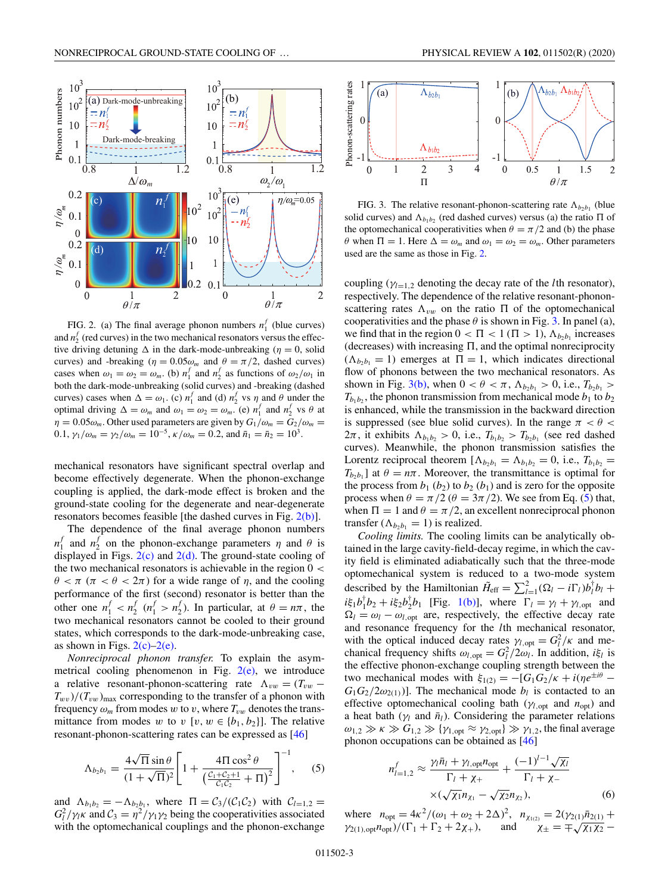<span id="page-2-0"></span>

FIG. 2. (a) The final average phonon numbers  $n_1^f$  (blue curves) and  $n_2^f$  (red curves) in the two mechanical resonators versus the effective driving detuning  $\Delta$  in the dark-mode-unbreaking ( $\eta = 0$ , solid curves) and -breaking ( $\eta = 0.05\omega_m$  and  $\theta = \pi/2$ , dashed curves) cases when  $\omega_1 = \omega_2 = \omega_m$ . (b)  $n_1^f$  and  $n_2^f$  as functions of  $\omega_2/\omega_1$  in both the dark-mode-unbreaking (solid curves) and -breaking (dashed curves) cases when  $\Delta = \omega_1$ . (c)  $n_1^f$  and (d)  $n_2^f$  vs  $\eta$  and  $\theta$  under the optimal driving  $\Delta = \omega_m$  and  $\omega_1 = \omega_2 = \omega_m$ . (e)  $n_1^f$  and  $n_2^f$  vs  $\theta$  at  $\eta = 0.05\omega_m$ . Other used parameters are given by  $G_1/\omega_m = G_2/\omega_m =$ 0.1,  $\gamma_1/\omega_m = \gamma_2/\omega_m = 10^{-5}$ ,  $\kappa/\omega_m = 0.2$ , and  $\bar{n}_1 = \bar{n}_2 = 10^3$ .

mechanical resonators have significant spectral overlap and become effectively degenerate. When the phonon-exchange coupling is applied, the dark-mode effect is broken and the ground-state cooling for the degenerate and near-degenerate resonators becomes feasible [the dashed curves in Fig. 2(b)].

The dependence of the final average phonon numbers  $n_1^f$  and  $n_2^f$  on the phonon-exchange parameters  $\eta$  and  $\theta$  is displayed in Figs.  $2(c)$  and  $2(d)$ . The ground-state cooling of the two mechanical resonators is achievable in the region  $0 <$  $\theta < \pi$  ( $\pi < \theta < 2\pi$ ) for a wide range of  $\eta$ , and the cooling performance of the first (second) resonator is better than the other one  $n_1^f < n_2^f$  ( $n_1^f > n_2^f$ ). In particular, at  $\theta = n\pi$ , the two mechanical resonators cannot be cooled to their ground states, which corresponds to the dark-mode-unbreaking case, as shown in Figs.  $2(c)-2(e)$ .

*Nonreciprocal phonon transfer.* To explain the asymmetrical cooling phenomenon in Fig.  $2(e)$ , we introduce a relative resonant-phonon-scattering rate  $\Lambda_{vw} = (T_{vw} T_{wv}$  )/( $T_{vw}$ )<sub>max</sub> corresponding to the transfer of a phonon with frequency  $\omega_m$  from modes *w* to *v*, where  $T_{vw}$  denotes the transmittance from modes *w* to *v* [*v*,  $w \in \{b_1, b_2\}$ ]. The relative resonant-phonon-scattering rates can be expressed as [\[46\]](#page-5-0)

$$
\Lambda_{b_2 b_1} = \frac{4\sqrt{\Pi}\sin\theta}{(1+\sqrt{\Pi})^2} \left[ 1 + \frac{4\Pi\cos^2\theta}{\left(\frac{C_1+C_2+1}{C_1C_2} + \Pi\right)^2} \right]^{-1}, \quad (5)
$$

and  $\Lambda_{b_1b_2} = -\Lambda_{b_2b_1}$ , where  $\Pi = C_3/(C_1C_2)$  with  $C_{l=1,2}$  $G_l^2/\gamma_l \kappa$  and  $C_3 = \eta^2/\gamma_1 \gamma_2$  being the cooperativities associated with the optomechanical couplings and the phonon-exchange



FIG. 3. The relative resonant-phonon-scattering rate  $\Lambda_{b_2b_1}$  (blue solid curves) and  $\Lambda_{b_1b_2}$  (red dashed curves) versus (a) the ratio  $\Pi$  of the optomechanical cooperativities when  $\theta = \pi/2$  and (b) the phase  $\theta$  when  $\Pi = 1$ . Here  $\Delta = \omega_m$  and  $\omega_1 = \omega_2 = \omega_m$ . Other parameters used are the same as those in Fig. 2.

coupling ( $\gamma_{l=1,2}$  denoting the decay rate of the *l*th resonator), respectively. The dependence of the relative resonant-phononscattering rates  $\Lambda_{vw}$  on the ratio  $\Pi$  of the optomechanical cooperativities and the phase  $\theta$  is shown in Fig. 3. In panel (a), we find that in the region  $0 < \Pi < 1$  ( $\Pi > 1$ ),  $\Lambda_{b_2 b_1}$  increases  $(decreases)$  with increasing  $\Pi$ , and the optimal nonreciprocity  $(\Lambda_{b_2b_1} = 1)$  emerges at  $\Pi = 1$ , which indicates directional flow of phonons between the two mechanical resonators. As shown in Fig. 3(b), when  $0 < \theta < \pi$ ,  $\Lambda_{b_2b_1} > 0$ , i.e.,  $T_{b_2b_1} >$  $T_{b_1b_2}$ , the phonon transmission from mechanical mode  $b_1$  to  $b_2$ is enhanced, while the transmission in the backward direction is suppressed (see blue solid curves). In the range  $\pi < \theta <$  $2\pi$ , it exhibits  $\Lambda_{b_1b_2} > 0$ , i.e.,  $T_{b_1b_2} > T_{b_2b_1}$  (see red dashed curves). Meanwhile, the phonon transmission satisfies the Lorentz reciprocal theorem  $[\Lambda_{b_2 b_1} = \Lambda_{b_1 b_2} = 0$ , i.e.,  $T_{b_1 b_2} =$  $T_{b_2b_1}$  at  $\theta = n\pi$ . Moreover, the transmittance is optimal for the process from  $b_1$  ( $b_2$ ) to  $b_2$  ( $b_1$ ) and is zero for the opposite process when  $\theta = \pi/2$  ( $\theta = 3\pi/2$ ). We see from Eq. (5) that, when  $\Pi = 1$  and  $\theta = \pi/2$ , an excellent nonreciprocal phonon transfer  $(\Lambda_{b_2b_1} = 1)$  is realized.

*Cooling limits.* The cooling limits can be analytically obtained in the large cavity-field-decay regime, in which the cavity field is eliminated adiabatically such that the three-mode optomechanical system is reduced to a two-mode system described by the Hamiltonian  $\tilde{H}_{eff} = \sum_{l=1}^{2} (\Omega_l - i\Gamma_l) b_l^{\dagger} b_l +$  $i\xi_1 b_1^{\dagger} b_2 + i\xi_2 b_2^{\dagger} b_1$  [Fig. [1\(b\)\]](#page-1-0), where  $\Gamma_l = \gamma_l + \gamma_{l, \text{opt}}$  and  $\Omega_l = \omega_l - \omega_{l, \text{opt}}$  are, respectively, the effective decay rate and resonance frequency for the *l*th mechanical resonator, with the optical induced decay rates  $\gamma_{l, \text{opt}} = G_l^2 / \kappa$  and mechanical frequency shifts  $\omega_{l, opt} = G_l^2/2\omega_l$ . In addition,  $i\xi_l$  is the effective phonon-exchange coupling strength between the two mechanical modes with  $\xi_{1(2)} = -[G_1G_2/\kappa + i(\eta e^{\pm i\theta} G_1G_2/2\omega_{2(1)}$ ]. The mechanical mode  $b_l$  is contacted to an effective optomechanical cooling bath (γ*<sup>l</sup>*,opt and *n*opt) and a heat bath ( $\gamma_l$  and  $\bar{n}_l$ ). Considering the parameter relations  $\omega_{1,2} \gg \kappa \gg G_{1,2} \gg {\gamma_{1,\text{opt}}} \approx \gamma_{2,\text{opt}} \gg \gamma_{1,2}$ , the final average phonon occupations can be obtained as [\[46\]](#page-5-0)

$$
n_{l=1,2}^f \approx \frac{\gamma_l \bar{n}_l + \gamma_{l,\text{opt}} n_{\text{opt}}}{\Gamma_l + \chi_+} + \frac{(-1)^{l-1} \sqrt{\chi_l}}{\Gamma_l + \chi_-} \times (\sqrt{\chi_1} n_{\chi_1} - \sqrt{\chi_2} n_{\chi_2}), \tag{6}
$$

where  $n_{\text{opt}} = 4\kappa^2/(\omega_1 + \omega_2 + 2\Delta)^2$ ,  $n_{\chi_{1(2)}} = 2(\gamma_{2(1)}\bar{n}_{2(1)} + \Delta)^2$  $\gamma_{2(1),\text{opt}} n_{\text{opt}}/(\Gamma_1 + \Gamma_2 + 2\chi_+),$  and  $\chi_{\pm} = \pm \sqrt{\chi_1 \chi_2}$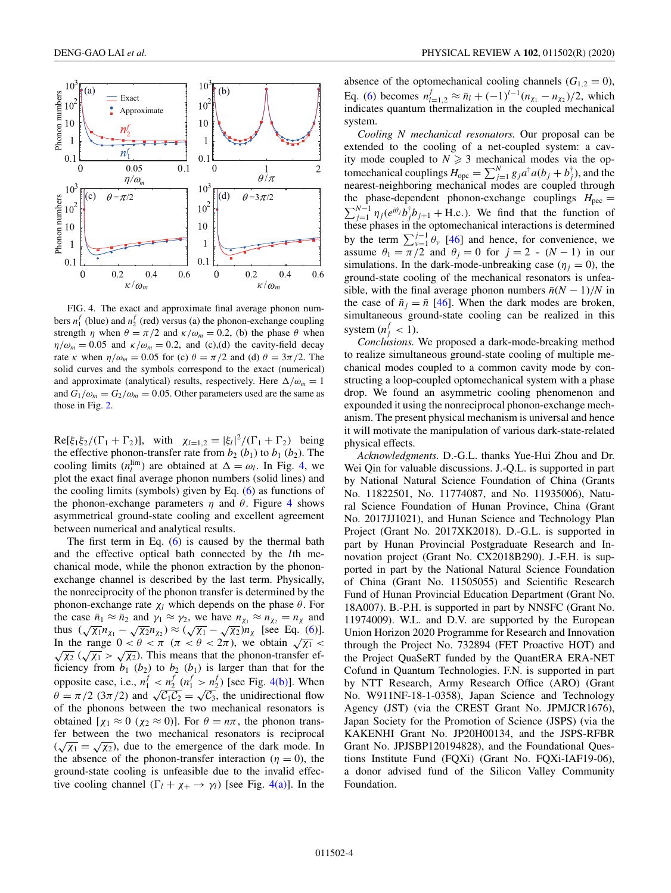

FIG. 4. The exact and approximate final average phonon numbers  $n_1^f$  (blue) and  $n_2^f$  (red) versus (a) the phonon-exchange coupling strength  $\eta$  when  $\theta = \pi/2$  and  $\kappa/\omega_m = 0.2$ , (b) the phase  $\theta$  when  $\eta/\omega_m = 0.05$  and  $\kappa/\omega_m = 0.2$ , and (c),(d) the cavity-field decay rate *κ* when  $\eta/\omega_m = 0.05$  for (c)  $\theta = \pi/2$  and (d)  $\theta = 3\pi/2$ . The solid curves and the symbols correspond to the exact (numerical) and approximate (analytical) results, respectively. Here  $\Delta/\omega_m = 1$ and  $G_1/\omega_m = G_2/\omega_m = 0.05$ . Other parameters used are the same as those in Fig. [2.](#page-2-0)

 $\text{Re}[\xi_1 \xi_2/(\Gamma_1 + \Gamma_2)], \text{ with } \chi_{l=1,2} = |\xi_l|^2/(\Gamma_1 + \Gamma_2) \text{ being}$ the effective phonon-transfer rate from  $b_2$  ( $b_1$ ) to  $b_1$  ( $b_2$ ). The cooling limits  $(n_l^{\text{lim}})$  are obtained at  $\Delta = \omega_l$ . In Fig. 4, we plot the exact final average phonon numbers (solid lines) and the cooling limits (symbols) given by Eq. [\(6\)](#page-2-0) as functions of the phonon-exchange parameters  $\eta$  and  $\theta$ . Figure 4 shows asymmetrical ground-state cooling and excellent agreement between numerical and analytical results.

The first term in Eq.  $(6)$  is caused by the thermal bath and the effective optical bath connected by the *l*th mechanical mode, while the phonon extraction by the phononexchange channel is described by the last term. Physically, the nonreciprocity of the phonon transfer is determined by the phonon-exchange rate  $χ_l$  which depends on the phase  $θ$ . For the case  $\bar{n}_1 \approx \bar{n}_2$  and  $\gamma_1 \approx \gamma_2$ , we have  $n_{\chi_1} \approx n_{\chi_2} = n_{\chi}$  and thus  $(\sqrt{\chi_1}n_{\chi_1} - \sqrt{\chi_2}n_{\chi_2}) \approx (\sqrt{\chi_1} - \sqrt{\chi_2})n_{\chi}$  [see Eq. [\(6\)](#page-2-0)]. In the range  $0 < \theta < \pi$  ( $\pi < \theta < 2\pi$ ), we obtain  $\sqrt{\chi_1} < \pi$ In the range  $0 < b < \pi$  ( $\pi < b < 2\pi$ ), we obtain  $\sqrt{\chi_1}$  <  $\sqrt{\chi_2}$  ( $\sqrt{\chi_1} > \sqrt{\chi_2}$ ). This means that the phonon-transfer efficiency from  $b_1$  ( $b_2$ ) to  $b_2$  ( $b_1$ ) is larger than that for the opposite case, i.e.,  $n_1^f < n_2^f$  ( $n_1^f > n_2^f$ ) [see Fig. 4(b)]. When  $\theta = \pi/2$  (3 $\pi/2$ ) and  $\sqrt{C_1C_2} = \sqrt{C_3}$ , the unidirectional flow of the phonons between the two mechanical resonators is obtained  $[\chi_1 \approx 0 \ (\chi_2 \approx 0)]$ . For  $\theta = n\pi$ , the phonon transfer between the two mechanical resonators is reciprocal Let between the two mechanical resolutions is reciprocal<br> $(\sqrt{\chi_1} = \sqrt{\chi_2})$ , due to the emergence of the dark mode. In the absence of the phonon-transfer interaction ( $\eta = 0$ ), the ground-state cooling is unfeasible due to the invalid effective cooling channel  $(\Gamma_l + \chi_+ \to \gamma_l)$  [see Fig. 4(a)]. In the

absence of the optomechanical cooling channels  $(G_{1,2} = 0)$ , Eq. [\(6\)](#page-2-0) becomes  $n_{l=1,2}^f \approx \bar{n}_l + (-1)^{l-1}(n_{\chi_1} - n_{\chi_2})/2$ , which indicates quantum thermalization in the coupled mechanical system.

*Cooling N mechanical resonators.* Our proposal can be extended to the cooling of a net-coupled system: a cavity mode coupled to  $N \geq 3$  mechanical modes via the optomechanical couplings  $H_{\text{ope}} = \sum_{j=1}^{N} g_j a^{\dagger} a (b_j + b_j^{\dagger})$ , and the nearest-neighboring mechanical modes are coupled through the phase-dependent phonon-exchange couplings  $H_{\text{pec}} =$  $\sum_{j=1}^{N-1} \eta_j(e^{i\theta_j}b_j^{\dagger}b_{j+1} + \text{H.c.})$ . We find that the function of these phases in the optomechanical interactions is determined by the term  $\sum_{v=1}^{j-1} \theta_v$  [\[46\]](#page-5-0) and hence, for convenience, we assume  $\theta_1 = \pi/2$  and  $\theta_j = 0$  for  $j = 2$  -  $(N - 1)$  in our simulations. In the dark-mode-unbreaking case ( $\eta_i = 0$ ), the ground-state cooling of the mechanical resonators is unfeasible, with the final average phonon numbers  $\bar{n}(N-1)/N$  in the case of  $\bar{n}_i = \bar{n}$  [\[46\]](#page-5-0). When the dark modes are broken, simultaneous ground-state cooling can be realized in this system  $(n_j^f < 1)$ .

*Conclusions.* We proposed a dark-mode-breaking method to realize simultaneous ground-state cooling of multiple mechanical modes coupled to a common cavity mode by constructing a loop-coupled optomechanical system with a phase drop. We found an asymmetric cooling phenomenon and expounded it using the nonreciprocal phonon-exchange mechanism. The present physical mechanism is universal and hence it will motivate the manipulation of various dark-state-related physical effects.

*Acknowledgments.* D.-G.L. thanks Yue-Hui Zhou and Dr. Wei Qin for valuable discussions. J.-Q.L. is supported in part by National Natural Science Foundation of China (Grants No. 11822501, No. 11774087, and No. 11935006), Natural Science Foundation of Hunan Province, China (Grant No. 2017JJ1021), and Hunan Science and Technology Plan Project (Grant No. 2017XK2018). D.-G.L. is supported in part by Hunan Provincial Postgraduate Research and Innovation project (Grant No. CX2018B290). J.-F.H. is supported in part by the National Natural Science Foundation of China (Grant No. 11505055) and Scientific Research Fund of Hunan Provincial Education Department (Grant No. 18A007). B.-P.H. is supported in part by NNSFC (Grant No. 11974009). W.L. and D.V. are supported by the European Union Horizon 2020 Programme for Research and Innovation through the Project No. 732894 (FET Proactive HOT) and the Project QuaSeRT funded by the QuantERA ERA-NET Cofund in Quantum Technologies. F.N. is supported in part by NTT Research, Army Research Office (ARO) (Grant No. W911NF-18-1-0358), Japan Science and Technology Agency (JST) (via the CREST Grant No. JPMJCR1676), Japan Society for the Promotion of Science (JSPS) (via the KAKENHI Grant No. JP20H00134, and the JSPS-RFBR Grant No. JPJSBP120194828), and the Foundational Questions Institute Fund (FQXi) (Grant No. FQXi-IAF19-06), a donor advised fund of the Silicon Valley Community Foundation.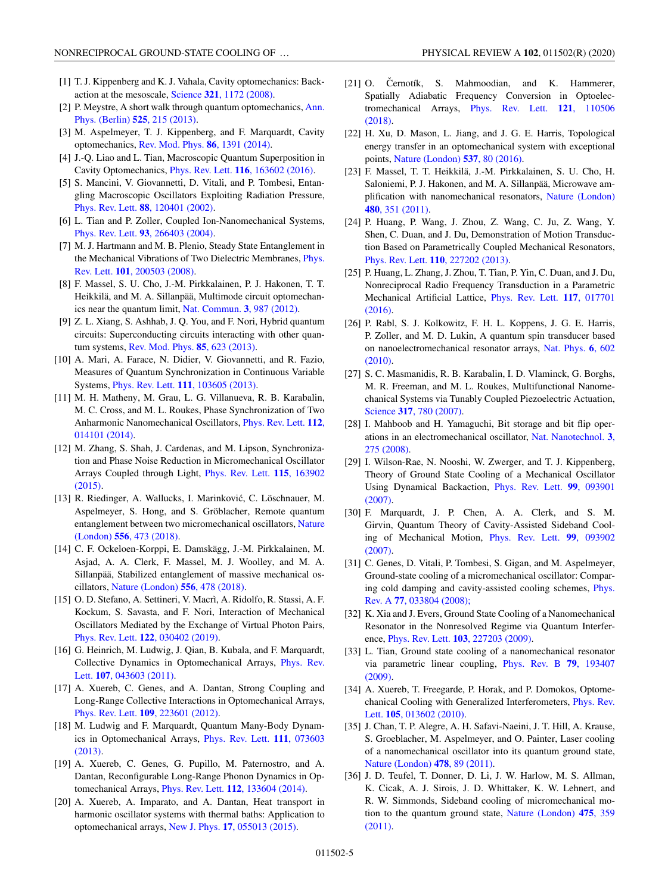- <span id="page-4-0"></span>[1] T. J. Kippenberg and K. J. Vahala, Cavity optomechanics: Backaction at the mesoscale, Science **321**[, 1172 \(2008\).](https://doi.org/10.1126/science.1156032)
- [2] [P. Meystre, A short walk through quantum optomechanics,](https://doi.org/10.1002/andp.201200226) Ann. Phys. (Berlin) **525**, 215 (2013).
- [3] M. Aspelmeyer, T. J. Kippenberg, and F. Marquardt, Cavity optomechanics, [Rev. Mod. Phys.](https://doi.org/10.1103/RevModPhys.86.1391) **86**, 1391 (2014).
- [4] J.-Q. Liao and L. Tian, Macroscopic Quantum Superposition in Cavity Optomechanics, Phys. Rev. Lett. **116**[, 163602 \(2016\).](https://doi.org/10.1103/PhysRevLett.116.163602)
- [5] S. Mancini, V. Giovannetti, D. Vitali, and P. Tombesi, Entangling Macroscopic Oscillators Exploiting Radiation Pressure, Phys. Rev. Lett. **88**[, 120401 \(2002\).](https://doi.org/10.1103/PhysRevLett.88.120401)
- [6] L. Tian and P. Zoller, Coupled Ion-Nanomechanical Systems, Phys. Rev. Lett. **93**[, 266403 \(2004\).](https://doi.org/10.1103/PhysRevLett.93.266403)
- [7] M. J. Hartmann and M. B. Plenio, Steady State Entanglement in [the Mechanical Vibrations of Two Dielectric Membranes,](https://doi.org/10.1103/PhysRevLett.101.200503) Phys. Rev. Lett. **101**, 200503 (2008).
- [8] F. Massel, S. U. Cho, J.-M. Pirkkalainen, P. J. Hakonen, T. T. Heikkilä, and M. A. Sillanpää, Multimode circuit optomechanics near the quantum limit, [Nat. Commun.](https://doi.org/10.1038/ncomms1993) **3**, 987 (2012).
- [9] Z. L. Xiang, S. Ashhab, J. Q. You, and F. Nori, Hybrid quantum circuits: Superconducting circuits interacting with other quantum systems, [Rev. Mod. Phys.](https://doi.org/10.1103/RevModPhys.85.623) **85**, 623 (2013).
- [10] A. Mari, A. Farace, N. Didier, V. Giovannetti, and R. Fazio, Measures of Quantum Synchronization in Continuous Variable Systems, Phys. Rev. Lett. **111**[, 103605 \(2013\).](https://doi.org/10.1103/PhysRevLett.111.103605)
- [11] M. H. Matheny, M. Grau, L. G. Villanueva, R. B. Karabalin, M. C. Cross, and M. L. Roukes, Phase Synchronization of Two [Anharmonic Nanomechanical Oscillators,](https://doi.org/10.1103/PhysRevLett.112.014101) Phys. Rev. Lett. **112**, 014101 (2014).
- [12] M. Zhang, S. Shah, J. Cardenas, and M. Lipson, Synchronization and Phase Noise Reduction in Micromechanical Oscillator [Arrays Coupled through Light,](https://doi.org/10.1103/PhysRevLett.115.163902) Phys. Rev. Lett. **115**, 163902 (2015).
- [13] R. Riedinger, A. Wallucks, I. Marinković, C. Löschnauer, M. Aspelmeyer, S. Hong, and S. Gröblacher, Remote quantum [entanglement between two micromechanical oscillators,](https://doi.org/10.1038/s41586-018-0036-z) Nature (London) **556**, 473 (2018).
- [14] C. F. Ockeloen-Korppi, E. Damskägg, J.-M. Pirkkalainen, M. Asjad, A. A. Clerk, F. Massel, M. J. Woolley, and M. A. Sillanpää, Stabilized entanglement of massive mechanical oscillators, [Nature \(London\)](https://doi.org/10.1038/s41586-018-0038-x) **556**, 478 (2018).
- [15] O. D. Stefano, A. Settineri, V. Macrì, A. Ridolfo, R. Stassi, A. F. Kockum, S. Savasta, and F. Nori, Interaction of Mechanical Oscillators Mediated by the Exchange of Virtual Photon Pairs, Phys. Rev. Lett. **122**[, 030402 \(2019\).](https://doi.org/10.1103/PhysRevLett.122.030402)
- [16] G. Heinrich, M. Ludwig, J. Qian, B. Kubala, and F. Marquardt, [Collective Dynamics in Optomechanical Arrays,](https://doi.org/10.1103/PhysRevLett.107.043603) Phys. Rev. Lett. **107**, 043603 (2011).
- [17] A. Xuereb, C. Genes, and A. Dantan, Strong Coupling and Long-Range Collective Interactions in Optomechanical Arrays, Phys. Rev. Lett. **109**[, 223601 \(2012\).](https://doi.org/10.1103/PhysRevLett.109.223601)
- [18] M. Ludwig and F. Marquardt, Quantum Many-Body Dynam[ics in Optomechanical Arrays,](https://doi.org/10.1103/PhysRevLett.111.073603) Phys. Rev. Lett. **111**, 073603 (2013).
- [19] A. Xuereb, C. Genes, G. Pupillo, M. Paternostro, and A. Dantan, Reconfigurable Long-Range Phonon Dynamics in Optomechanical Arrays, Phys. Rev. Lett. **112**[, 133604 \(2014\).](https://doi.org/10.1103/PhysRevLett.112.133604)
- [20] A. Xuereb, A. Imparato, and A. Dantan, Heat transport in harmonic oscillator systems with thermal baths: Application to optomechanical arrays, New J. Phys. **17**[, 055013 \(2015\).](https://doi.org/10.1088/1367-2630/17/5/055013)
- [21] O. Černotík, S. Mahmoodian, and K. Hammerer, Spatially Adiabatic Frequency Conversion in Optoelec[tromechanical Arrays,](https://doi.org/10.1103/PhysRevLett.121.110506) Phys. Rev. Lett. **121**, 110506 (2018).
- [22] H. Xu, D. Mason, L. Jiang, and J. G. E. Harris, Topological energy transfer in an optomechanical system with exceptional points, [Nature \(London\)](https://doi.org/10.1038/nature18604) **537**, 80 (2016).
- [23] F. Massel, T. T. Heikkilä, J.-M. Pirkkalainen, S. U. Cho, H. Saloniemi, P. J. Hakonen, and M. A. Sillanpää, Microwave am[plification with nanomechanical resonators,](https://doi.org/10.1038/nature10628) Nature (London) **480**, 351 (2011).
- [24] P. Huang, P. Wang, J. Zhou, Z. Wang, C. Ju, Z. Wang, Y. Shen, C. Duan, and J. Du, Demonstration of Motion Transduction Based on Parametrically Coupled Mechanical Resonators, Phys. Rev. Lett. **110**[, 227202 \(2013\).](https://doi.org/10.1103/PhysRevLett.110.227202)
- [25] P. Huang, L. Zhang, J. Zhou, T. Tian, P. Yin, C. Duan, and J. Du, Nonreciprocal Radio Frequency Transduction in a Parametric [Mechanical Artificial Lattice,](https://doi.org/10.1103/PhysRevLett.117.017701) Phys. Rev. Lett. **117**, 017701 (2016).
- [26] P. Rabl, S. J. Kolkowitz, F. H. L. Koppens, J. G. E. Harris, P. Zoller, and M. D. Lukin, A quantum spin transducer based [on nanoelectromechanical resonator arrays,](https://doi.org/10.1038/nphys1679) Nat. Phys. **6**, 602 (2010).
- [27] S. C. Masmanidis, R. B. Karabalin, I. D. Vlaminck, G. Borghs, M. R. Freeman, and M. L. Roukes, Multifunctional Nanomechanical Systems via Tunably Coupled Piezoelectric Actuation, Science **317**[, 780 \(2007\).](https://doi.org/10.1126/science.1144793)
- [28] I. Mahboob and H. Yamaguchi, Bit storage and bit flip oper[ations in an electromechanical oscillator,](https://doi.org/10.1038/nnano.2008.84) Nat. Nanotechnol. **3**, 275 (2008).
- [29] I. Wilson-Rae, N. Nooshi, W. Zwerger, and T. J. Kippenberg, Theory of Ground State Cooling of a Mechanical Oscillator [Using Dynamical Backaction,](https://doi.org/10.1103/PhysRevLett.99.093901) Phys. Rev. Lett. **99**, 093901 (2007).
- [30] F. Marquardt, J. P. Chen, A. A. Clerk, and S. M. Girvin, Quantum Theory of Cavity-Assisted Sideband Cool[ing of Mechanical Motion,](https://doi.org/10.1103/PhysRevLett.99.093902) Phys. Rev. Lett. **99**, 093902 (2007).
- [31] C. Genes, D. Vitali, P. Tombesi, S. Gigan, and M. Aspelmeyer, Ground-state cooling of a micromechanical oscillator: Compar[ing cold damping and cavity-assisted cooling schemes,](https://doi.org/10.1103/PhysRevA.77.033804) Phys. Rev. A **77**, 033804 (2008);
- [32] K. Xia and J. Evers, Ground State Cooling of a Nanomechanical Resonator in the Nonresolved Regime via Quantum Interference, Phys. Rev. Lett. **103**[, 227203 \(2009\).](https://doi.org/10.1103/PhysRevLett.103.227203)
- [33] L. Tian, Ground state cooling of a nanomechanical resonator [via parametric linear coupling,](https://doi.org/10.1103/PhysRevB.79.193407) Phys. Rev. B **79**, 193407 (2009).
- [34] A. Xuereb, T. Freegarde, P. Horak, and P. Domokos, Optome[chanical Cooling with Generalized Interferometers,](https://doi.org/10.1103/PhysRevLett.105.013602) Phys. Rev. Lett. **105**, 013602 (2010).
- [35] J. Chan, T. P. Alegre, A. H. Safavi-Naeini, J. T. Hill, A. Krause, S. Groeblacher, M. Aspelmeyer, and O. Painter, Laser cooling of a nanomechanical oscillator into its quantum ground state, [Nature \(London\)](https://doi.org/10.1038/nature10461) **478**, 89 (2011).
- [36] J. D. Teufel, T. Donner, D. Li, J. W. Harlow, M. S. Allman, K. Cicak, A. J. Sirois, J. D. Whittaker, K. W. Lehnert, and R. W. Simmonds, Sideband cooling of micromechanical mo[tion to the quantum ground state,](https://doi.org/10.1038/nature10261) Nature (London) **475**, 359 (2011).